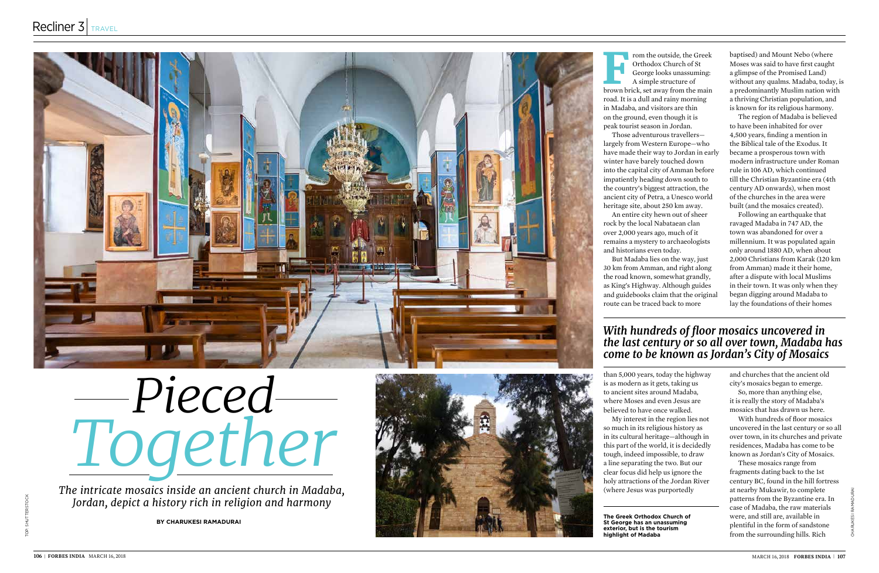

## *Pieced Together*

*The intricate mosaics inside an ancient church in Madaba, Jordan, depict a history rich in religion and harmony* 

**By Charukesi Ramadurai**



**From the outside, the Greek Orthodox Church of St George looks unassuming:**<br>A simple structure of brown brick, set away from the main Orthodox Church of St George looks unassuming: A simple structure of road. It is a dull and rainy morning in Madaba, and visitors are thin on the ground, even though it is peak tourist season in Jordan. Those adventurous travellers largely from Western Europe—who have made their way to Jordan in early winter have barely touched down into the capital city of Amman before impatiently heading down south to the country's biggest attraction, the ancient city of Petra, a Unesco world heritage site, about 250 km away. An entire city hewn out of sheer rock by the local Nabataean clan over 2,000 years ago, much of it remains a mystery to archaeologists and historians even today. But Madaba lies on the way, just

30 km from Amman, and right along the road known, somewhat grandly, as King's Highway. Although guides and guidebooks claim that the original route can be traced back to more

than 5,000 years, today the highway is as modern as it gets, taking us to ancient sites around Madaba, where Moses and even Jesus are believed to have once walked. My interest in the region lies not so much in its religious history as in its cultural heritage—although in this part of the world, it is decidedly tough, indeed impossible, to draw a line separating the two. But our clear focus did help us ignore the holy attractions of the Jordan River (where Jesus was purportedly

baptised) and Mount Nebo (where Moses was said to have first caught a glimpse of the Promised Land) without any qualms. Madaba, today, is a predominantly Muslim nation with a thriving Christian population, and is known for its religious harmony.

The region of Madaba is believed to have been inhabited for over 4,500 years, finding a mention in the Biblical tale of the Exodus. It became a prosperous town with modern infrastructure under Roman rule in 106 AD, which continued till the Christian Byzantine era (4th century AD onwards), when most of the churches in the area were built (and the mosaics created).

Following an earthquake that ravaged Madaba in 747 AD, the town was abandoned for over a millennium. It was populated again only around 1880 AD, when about 2,000 Christians from Karak (120 km from Amman) made it their home, after a dispute with local Muslims in their town. It was only when they began digging around Madaba to lay the foundations of their homes

and churches that the ancient old city's mosaics began to emerge.

So, more than anything else, it is really the story of Madaba's mosaics that has drawn us here.

With hundreds of floor mosaics uncovered in the last century or so all over town, in its churches and private residences, Madaba has come to be known as Jordan's City of Mosaics.

These mosaics range from fragments dating back to the 1st century BC, found in the hill fortress at nearby Mukawir, to complete patterns from the Byzantine era. In case of Madaba, the raw materials were, and still are, available in plentiful in the form of sandstone from the surrounding hills. Rich

**The Greek Orthodox Church of St George has an unassuming exterior, but is the tourism highlight of Madaba**

## *With hundreds of floor mosaics uncovered in the last century or so all over town, Madaba has come to be known as Jordan's City of Mosaics*